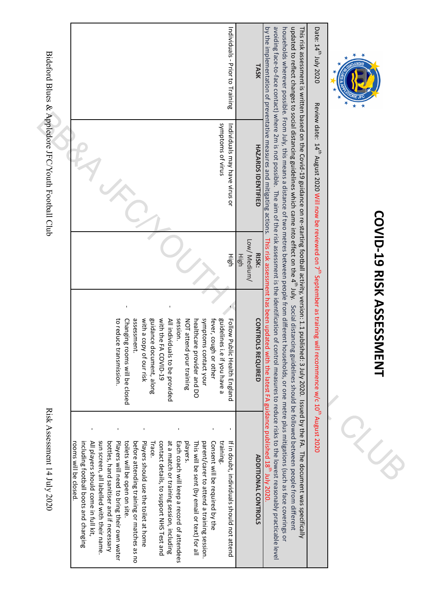|                                                    | Individuals - Prior to Training                                                                                                                                                                                                                                                                                                                                                                                                                                                                                                                                                                                                                                                                                                               | TASK                                                                                                                                                                                                                                                                                                                                                                                                                                                                                                                                                                                                                                     | Date: 14th July 2020                                                                        |                                  |
|----------------------------------------------------|-----------------------------------------------------------------------------------------------------------------------------------------------------------------------------------------------------------------------------------------------------------------------------------------------------------------------------------------------------------------------------------------------------------------------------------------------------------------------------------------------------------------------------------------------------------------------------------------------------------------------------------------------------------------------------------------------------------------------------------------------|------------------------------------------------------------------------------------------------------------------------------------------------------------------------------------------------------------------------------------------------------------------------------------------------------------------------------------------------------------------------------------------------------------------------------------------------------------------------------------------------------------------------------------------------------------------------------------------------------------------------------------------|---------------------------------------------------------------------------------------------|----------------------------------|
| Bideford Blues & Appledore JFC/Youth Football Club | shubtoms of virus<br>Individuals may have virus or                                                                                                                                                                                                                                                                                                                                                                                                                                                                                                                                                                                                                                                                                            | <b>HAZARDS IDENTIFIED</b>                                                                                                                                                                                                                                                                                                                                                                                                                                                                                                                                                                                                                | Review date: 14th August 2020 Will now be reviewed on 7 <sup>th</sup> September as training |                                  |
|                                                    | High                                                                                                                                                                                                                                                                                                                                                                                                                                                                                                                                                                                                                                                                                                                                          | Low/ Medium/<br>RISK:<br>High                                                                                                                                                                                                                                                                                                                                                                                                                                                                                                                                                                                                            |                                                                                             |                                  |
|                                                    | session<br>symptoms contact your<br>with a<br>guidance document, along<br>with the FA COVID-19<br>All individuals to be provided<br>guidelines i.e if you have a<br>Follow Public Health England<br>Changing rooms will be closed<br>assessment.<br>fever, cough or other<br>to reduce transmission.<br>NOT attend your training<br>healthcare provider and DO<br>copy of our risk                                                                                                                                                                                                                                                                                                                                                            | updated to reflect changes to social distancing guidelines which came into effect on the 4 <sup>th</sup> July. Social distancing guidelines should be followed between people from different<br>by the implementation of preventative measures and mitigating actions. This risk assessment has been updated with the latest FA guidance published 18 <sup>th</sup> July 2020.<br><b>CONTROLS REQUIRED</b>                                                                                                                                                                                                                               | will recommence w/c 10 <sup>th</sup> August 2020                                            | <b>COVID-19 RISK ASSESSIMENT</b> |
| Risk Assessment 14 July 2020                       | $\blacksquare$<br>sun screen, all labelled with their name<br>at a match or training session, including<br>including football boots and changing<br>All players should come in full kit.<br>bottles, hand sanitiser and if necessary<br>Players will need to bring their own water<br>toilets will be open on site<br>Players should use the toilet at home<br>contact details, to support NHS Test and<br>Each coach will keep a record of attendees<br>players.<br>parent/carer to attend a training session.<br>Consent will be required by the<br>training.<br>before attending training or matches as no<br>If in doubt, individuals should not attend<br>Trace<br>This will be sent (by email or text) for all<br>rooms will be closed. | avoiding face-to-face contact) where 2m is not possible. The aim of the risk assessment is the identification of control measures to reduce risks to teduce risks to the identification of control measures to reduce risks as<br>households wherever possible. From July, this means a distance of two metres between people from different households, or one metre plus mitigations (such as face coverings or<br>This risk assessment is written based on the Covid-19 guidance on re-starting football activity, version: 1.1 published: 3 July 2020. Issued by the FA. The document was specifically<br><b>ADDITIONAL CONTROLS</b> |                                                                                             |                                  |

 $\begin{array}{c} \begin{array}{c} \begin{array}{c} \end{array}\\ \begin{array}{c} \end{array}\\ \begin{array}{c} \end{array}\\ \begin{array}{c} \end{array}\\ \begin{array}{c} \end{array}\\ \begin{array}{c} \end{array}\\ \begin{array}{c} \end{array}\\ \begin{array}{c} \end{array}\\ \begin{array}{c} \end{array}\\ \begin{array}{c} \end{array}\\ \begin{array}{c} \end{array}\\ \begin{array}{c} \end{array}\\ \begin{array}{c} \end{array}\\ \begin{array}{c} \end{array}\\ \begin{array}{c} \end{array}\\ \begin{array}{c} \end{array}\\ \begin{array}{c} \end{array}\\ \begin$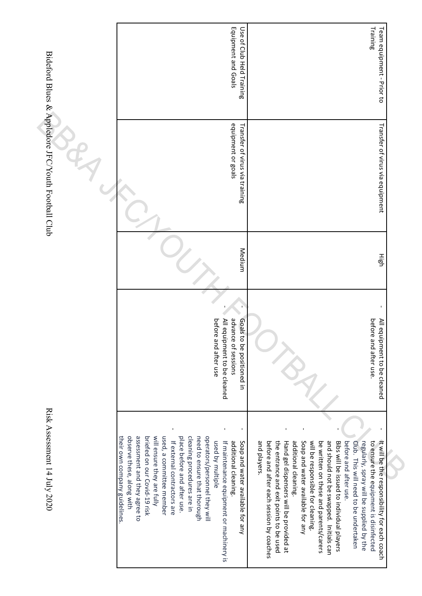| Equipment and Goals<br>Use of Club Held Training                                                                                                                                                                                                                                                                                                                                                                                                                              | Training<br>Team equipment - Prior to                                                                                                                                                                                                                                                                                                                                                                                                                                                                                                                                                    |  |
|-------------------------------------------------------------------------------------------------------------------------------------------------------------------------------------------------------------------------------------------------------------------------------------------------------------------------------------------------------------------------------------------------------------------------------------------------------------------------------|------------------------------------------------------------------------------------------------------------------------------------------------------------------------------------------------------------------------------------------------------------------------------------------------------------------------------------------------------------------------------------------------------------------------------------------------------------------------------------------------------------------------------------------------------------------------------------------|--|
| equipment or goals<br>Transfer of virus via training                                                                                                                                                                                                                                                                                                                                                                                                                          | Transfer of virus via equipment                                                                                                                                                                                                                                                                                                                                                                                                                                                                                                                                                          |  |
| Medium                                                                                                                                                                                                                                                                                                                                                                                                                                                                        | High                                                                                                                                                                                                                                                                                                                                                                                                                                                                                                                                                                                     |  |
| advance of sessions<br>All equipment to be cleaned<br>before<br>Goals to be positioned in<br>and after use                                                                                                                                                                                                                                                                                                                                                                    | before<br>All equi<br>and after use.<br>ipment to be cleaned                                                                                                                                                                                                                                                                                                                                                                                                                                                                                                                             |  |
| observe these, along with<br>assessment and they agree to<br>will ensure they are fully<br>used, a committee member<br>place before and after use.<br>cleaning procedures are in<br>operators/personnel they will<br>their own company guidelines.<br>briefed on our Covid-19 risk<br>need to ensure that thorough<br>If external contractors are<br>Soap and water available for any<br>used by multiple<br>additional cleaning.<br>If maintenance equipment or machinery is | and players<br>and should not be swapped. Initials can<br>before and after each session by coaches<br>the entrance and exit points to be used<br>Soap and water available for any<br>will be responsible for cleaning.<br>be written on these and parents/carers<br>Bibs will be issued to individual players<br>regularly, spray will be supplied by the<br>to ensure the equipment is disinfected<br>Hand gel dispensers will be provided at<br>additional cleaning.<br>before and after use.<br>Club. This will need to be undertaken<br>It will be the responsibility for each coach |  |

Bideford Blues & Appledore JFC/Youth Football Club Bideford Blues & Appledore JFC/Youth Football Club  $\Gamma$  Risk Assessment 14 July 2020

Risk Assessment 14 July 2020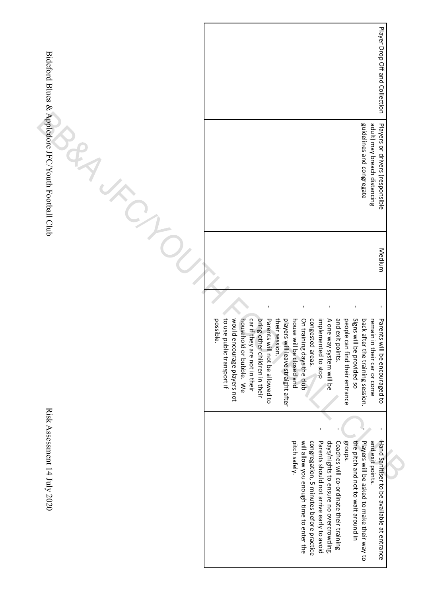| Player Drop Off and Collection                                                                                                                                                                                                                                                                                                                                                                                                                                                                                                                                                              |                                                                                                                                     |
|---------------------------------------------------------------------------------------------------------------------------------------------------------------------------------------------------------------------------------------------------------------------------------------------------------------------------------------------------------------------------------------------------------------------------------------------------------------------------------------------------------------------------------------------------------------------------------------------|-------------------------------------------------------------------------------------------------------------------------------------|
| guidelines and congregate<br>adult) may breach distancing<br>Players or drivers (responsible                                                                                                                                                                                                                                                                                                                                                                                                                                                                                                |                                                                                                                                     |
| Medium                                                                                                                                                                                                                                                                                                                                                                                                                                                                                                                                                                                      |                                                                                                                                     |
|                                                                                                                                                                                                                                                                                                                                                                                                                                                                                                                                                                                             |                                                                                                                                     |
| would encourage players not<br>to use public transport if<br>and exit points.<br>Signs will be provided so<br>car if they are not in their<br>their session.<br>congested areas.<br>people<br>household or bubble. We<br>Parents will not be allowed to<br>On training days the club<br>implemented to stop<br>A one way system will be<br>back after the training session.<br>possible.<br>bring other children in their<br>players<br>house will be closed and<br>Parents will be encouraged to<br>remain<br>will leave straight after<br>can find their entrance<br>in their car or come |                                                                                                                                     |
|                                                                                                                                                                                                                                                                                                                                                                                                                                                                                                                                                                                             |                                                                                                                                     |
| will allow you enough time to enter the<br>Parents should not arrive early to avoid<br>days/nights to ensure no overcrowding<br>groups.<br>and exit points.<br>pitch safely.<br>the pitch and not to wait around in<br>Coaches will co-ordinate their training                                                                                                                                                                                                                                                                                                                              |                                                                                                                                     |
|                                                                                                                                                                                                                                                                                                                                                                                                                                                                                                                                                                                             | congregation, 5 minutes before practice<br>Players will be asked to make their way to<br>Hand Sanitiser to be available at entrance |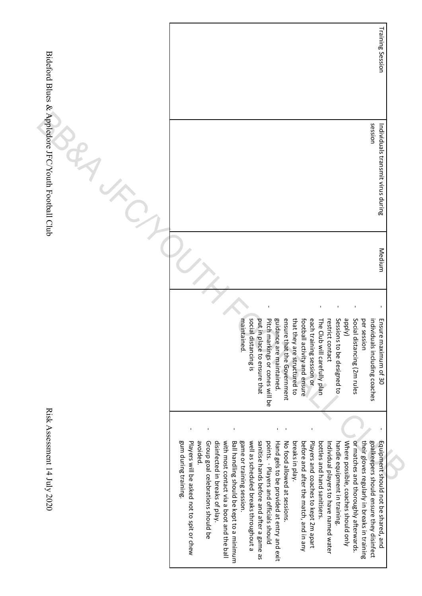|                                                    | Training Session                                                                                                                                                                                                                                                                                                                                                                                                                                                                                                                                                                                                                                                                                                                                                                                                                                                                                                             |  |
|----------------------------------------------------|------------------------------------------------------------------------------------------------------------------------------------------------------------------------------------------------------------------------------------------------------------------------------------------------------------------------------------------------------------------------------------------------------------------------------------------------------------------------------------------------------------------------------------------------------------------------------------------------------------------------------------------------------------------------------------------------------------------------------------------------------------------------------------------------------------------------------------------------------------------------------------------------------------------------------|--|
| Bideford Blues & Appledore JFC/Youth Football Club | session<br>Individuals transmit virus during                                                                                                                                                                                                                                                                                                                                                                                                                                                                                                                                                                                                                                                                                                                                                                                                                                                                                 |  |
|                                                    | Medium                                                                                                                                                                                                                                                                                                                                                                                                                                                                                                                                                                                                                                                                                                                                                                                                                                                                                                                       |  |
|                                                    |                                                                                                                                                                                                                                                                                                                                                                                                                                                                                                                                                                                                                                                                                                                                                                                                                                                                                                                              |  |
|                                                    | social distancing is<br>guidance are maintained.<br>ensure that the Government<br>that they are structured to<br>Sessions to be designed to<br>(A <sub>l</sub> dde<br>Social distancing (2m rules<br>Pitch markings or cones will be<br>each training session or<br>restrict contact<br>per session<br>maintained.<br>football activity and ensure<br>individuals including coaches<br>Ensure maximum of 30<br>put in place to ensure that<br>The Club will carefully plan                                                                                                                                                                                                                                                                                                                                                                                                                                                   |  |
|                                                    | п.<br>$\blacksquare$<br>$\blacksquare$<br>$\blacksquare$                                                                                                                                                                                                                                                                                                                                                                                                                                                                                                                                                                                                                                                                                                                                                                                                                                                                     |  |
| Risk Assessment 14 July 2020                       | disinfected in breaks of play.<br>their gloves regularly in breaks in training<br>goalkeepers should ensure they disinfect<br>avoided.<br>Group goal celebrations should be<br>game or training session.<br>sanitise hands before and after a game as<br>Where possible, coaches should only<br>gum during training.<br>Players will be asked not to spit or chew<br>with most contact via a boot and the ball<br>Ball handling should be kept to a minimum<br>well as scheduled breaks throughout a<br>points. · Players and officials should<br>Hand gels to be provided at entry and exit<br>before and after the match, and in any<br>Players and coaches to kept 2m apart<br>bottles and hand sanitisers.<br>handle equipment in training.<br>or matches and thoroughly afterwards.<br>Equipment should not be shared, and<br>No tood allowed at sessions.<br>breaks in play.<br>Individual players to have named water |  |